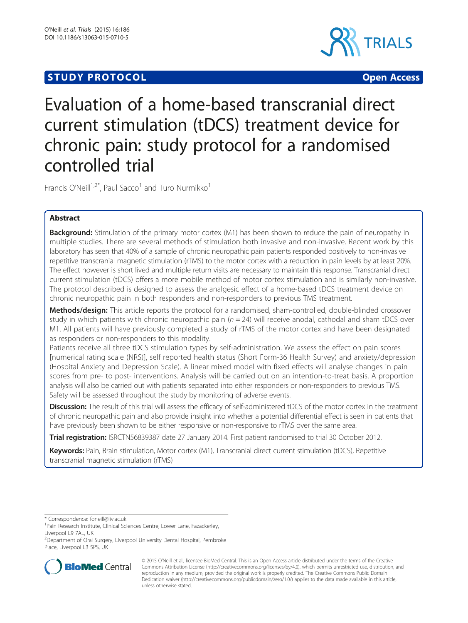# **STUDY PROTOCOL CONSUMING THE CONSUMING OPEN ACCESS**



# Evaluation of a home-based transcranial direct current stimulation (tDCS) treatment device for chronic pain: study protocol for a randomised controlled trial

Francis O'Neill<sup>1,2\*</sup>, Paul Sacco<sup>1</sup> and Turo Nurmikko<sup>1</sup>

# Abstract

**Background:** Stimulation of the primary motor cortex (M1) has been shown to reduce the pain of neuropathy in multiple studies. There are several methods of stimulation both invasive and non-invasive. Recent work by this laboratory has seen that 40% of a sample of chronic neuropathic pain patients responded positively to non-invasive repetitive transcranial magnetic stimulation (rTMS) to the motor cortex with a reduction in pain levels by at least 20%. The effect however is short lived and multiple return visits are necessary to maintain this response. Transcranial direct current stimulation (tDCS) offers a more mobile method of motor cortex stimulation and is similarly non-invasive. The protocol described is designed to assess the analgesic effect of a home-based tDCS treatment device on chronic neuropathic pain in both responders and non-responders to previous TMS treatment.

Methods/design: This article reports the protocol for a randomised, sham-controlled, double-blinded crossover study in which patients with chronic neuropathic pain  $(n = 24)$  will receive anodal, cathodal and sham tDCS over M1. All patients will have previously completed a study of rTMS of the motor cortex and have been designated as responders or non-responders to this modality.

Patients receive all three tDCS stimulation types by self-administration. We assess the effect on pain scores [numerical rating scale (NRS)], self reported health status (Short Form-36 Health Survey) and anxiety/depression (Hospital Anxiety and Depression Scale). A linear mixed model with fixed effects will analyse changes in pain scores from pre- to post- interventions. Analysis will be carried out on an intention-to-treat basis. A proportion analysis will also be carried out with patients separated into either responders or non-responders to previous TMS. Safety will be assessed throughout the study by monitoring of adverse events.

Discussion: The result of this trial will assess the efficacy of self-administered tDCS of the motor cortex in the treatment of chronic neuropathic pain and also provide insight into whether a potential differential effect is seen in patients that have previously been shown to be either responsive or non-responsive to rTMS over the same area.

Trial registration: [ISRCTN56839387](http://www.isrctn.com/ISRCTN56839387) date 27 January 2014. First patient randomised to trial 30 October 2012.

Keywords: Pain, Brain stimulation, Motor cortex (M1), Transcranial direct current stimulation (tDCS), Repetitive transcranial magnetic stimulation (rTMS)

\* Correspondence: [foneill@liv.ac.uk](mailto:foneill@liv.ac.uk) <sup>1</sup>

<sup>2</sup> Department of Oral Surgery, Liverpool University Dental Hospital, Pembroke Place, Liverpool L3 5PS, UK



© 2015 O'Neill et al.; licensee BioMed Central. This is an Open Access article distributed under the terms of the Creative Commons Attribution License [\(http://creativecommons.org/licenses/by/4.0\)](http://creativecommons.org/licenses/by/4.0), which permits unrestricted use, distribution, and reproduction in any medium, provided the original work is properly credited. The Creative Commons Public Domain Dedication waiver [\(http://creativecommons.org/publicdomain/zero/1.0/](http://creativecommons.org/publicdomain/zero/1.0/)) applies to the data made available in this article, unless otherwise stated.

Pain Research Institute, Clinical Sciences Centre, Lower Lane, Fazackerley, Liverpool L9 7AL, UK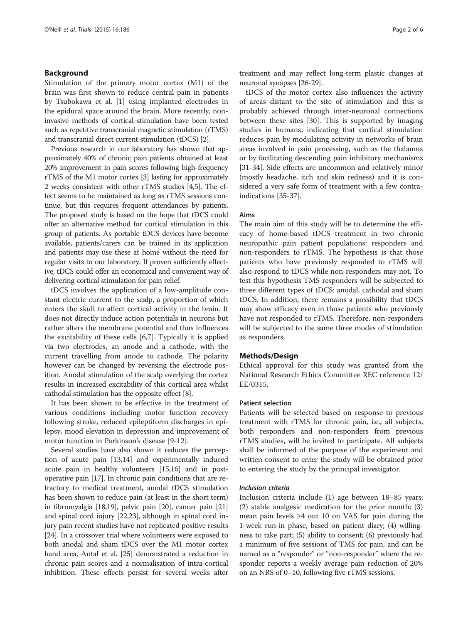### Background

Stimulation of the primary motor cortex (M1) of the brain was first shown to reduce central pain in patients by Tsubokawa et al. [\[1\]](#page-4-0) using implanted electrodes in the epidural space around the brain. More recently, noninvasive methods of cortical stimulation have been tested such as repetitive transcranial magnetic stimulation (rTMS) and transcranial direct current stimulation (tDCS) [\[2](#page-4-0)].

Previous research in our laboratory has shown that approximately 40% of chronic pain patients obtained at least 20% improvement in pain scores following high-frequency rTMS of the M1 motor cortex [\[3\]](#page-4-0) lasting for approximately 2 weeks consistent with other rTMS studies [\[4,5](#page-4-0)]. The effect seems to be maintained as long as rTMS sessions continue, but this requires frequent attendances by patients. The proposed study is based on the hope that tDCS could offer an alternative method for cortical stimulation in this group of patients. As portable tDCS devices have become available, patients/carers can be trained in its application and patients may use these at home without the need for regular visits to our laboratory. If proven sufficiently effective, tDCS could offer an economical and convenient way of delivering cortical stimulation for pain relief.

tDCS involves the application of a low-amplitude constant electric current to the scalp, a proportion of which enters the skull to affect cortical activity in the brain. It does not directly induce action potentials in neurons but rather alters the membrane potential and thus influences the excitability of these cells [[6,7\]](#page-4-0). Typically it is applied via two electrodes, an anode and a cathode, with the current travelling from anode to cathode. The polarity however can be changed by reversing the electrode position. Anodal stimulation of the scalp overlying the cortex results in increased excitability of this cortical area whilst cathodal stimulation has the opposite effect [[8\]](#page-4-0).

It has been shown to be effective in the treatment of various conditions including motor function recovery following stroke, reduced epileptiform discharges in epilepsy, mood elevation in depression and improvement of motor function in Parkinson's disease [[9-12\]](#page-4-0).

Several studies have also shown it reduces the perception of acute pain [\[13,14](#page-4-0)] and experimentally induced acute pain in healthy volunteers [[15,16](#page-4-0)] and in postoperative pain [\[17\]](#page-4-0). In chronic pain conditions that are refractory to medical treatment, anodal tDCS stimulation has been shown to reduce pain (at least in the short term) in fibromyalgia [\[18,19\]](#page-5-0), pelvic pain [\[20](#page-5-0)], cancer pain [[21](#page-5-0)] and spinal cord injury [\[22,23](#page-5-0)], although in spinal cord injury pain recent studies have not replicated positive results [[24](#page-5-0)]. In a crossover trial where volunteers were exposed to both anodal and sham tDCS over the M1 motor cortex hand area, Antal et al. [\[25](#page-5-0)] demonstrated a reduction in chronic pain scores and a normalisation of intra-cortical inhibition. These effects persist for several weeks after

treatment and may reflect long-term plastic changes at neuronal synapses [\[26-29\]](#page-5-0).

tDCS of the motor cortex also influences the activity of areas distant to the site of stimulation and this is probably achieved through inter-neuronal connections between these sites [[30](#page-5-0)]. This is supported by imaging studies in humans, indicating that cortical stimulation reduces pain by modulating activity in networks of brain areas involved in pain processing, such as the thalamus or by facilitating descending pain inhibitory mechanisms [[31-34](#page-5-0)]. Side effects are uncommon and relatively minor (mostly headache, itch and skin redness) and it is considered a very safe form of treatment with a few contraindications [\[35](#page-5-0)-[37\]](#page-5-0).

#### Aims

The main aim of this study will be to determine the efficacy of home-based tDCS treatment in two chronic neuropathic pain patient populations: responders and non-responders to rTMS. The hypothesis is that those patients who have previously responded to rTMS will also respond to tDCS while non-responders may not. To test this hypothesis TMS responders will be subjected to three different types of tDCS: anodal, cathodal and sham tDCS. In addition, there remains a possibility that tDCS may show efficacy even in those patients who previously have not responded to rTMS. Therefore, non-responders will be subjected to the same three modes of stimulation as responders.

#### Methods/Design

Ethical approval for this study was granted from the National Research Ethics Committee REC reference 12/ EE/0315.

#### Patient selection

Patients will be selected based on response to previous treatment with rTMS for chronic pain, i.e., all subjects, both responders and non-responders from previous rTMS studies, will be invited to participate. All subjects shall be informed of the purpose of the experiment and written consent to enter the study will be obtained prior to entering the study by the principal investigator.

#### Inclusion criteria

Inclusion criteria include (1) age between 18–85 years; (2) stable analgesic medication for the prior month; (3) mean pain levels ≥4 out 10 on VAS for pain during the 1-week run-in phase, based on patient diary; (4) willingness to take part; (5) ability to consent; (6) previously had a minimum of five sessions of TMS for pain, and can be named as a "responder" or "non-responder" where the responder reports a weekly average pain reduction of 20% on an NRS of 0–10, following five rTMS sessions.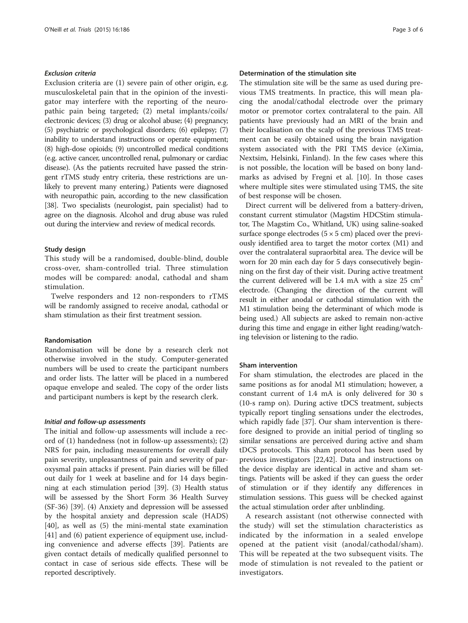#### Exclusion criteria

Exclusion criteria are (1) severe pain of other origin, e.g. musculoskeletal pain that in the opinion of the investigator may interfere with the reporting of the neuropathic pain being targeted; (2) metal implants/coils/ electronic devices; (3) drug or alcohol abuse; (4) pregnancy; (5) psychiatric or psychological disorders; (6) epilepsy; (7) inability to understand instructions or operate equipment; (8) high-dose opioids; (9) uncontrolled medical conditions (e.g. active cancer, uncontrolled renal, pulmonary or cardiac disease). (As the patients recruited have passed the stringent rTMS study entry criteria, these restrictions are unlikely to prevent many entering.) Patients were diagnosed with neuropathic pain, according to the new classification [[38](#page-5-0)]. Two specialists (neurologist, pain specialist) had to agree on the diagnosis. Alcohol and drug abuse was ruled out during the interview and review of medical records.

#### Study design

This study will be a randomised, double-blind, double cross-over, sham-controlled trial. Three stimulation modes will be compared: anodal, cathodal and sham stimulation.

Twelve responders and 12 non-responders to rTMS will be randomly assigned to receive anodal, cathodal or sham stimulation as their first treatment session.

# Randomisation

Randomisation will be done by a research clerk not otherwise involved in the study. Computer-generated numbers will be used to create the participant numbers and order lists. The latter will be placed in a numbered opaque envelope and sealed. The copy of the order lists and participant numbers is kept by the research clerk.

#### Initial and follow-up assessments

The initial and follow-up assessments will include a record of (1) handedness (not in follow-up assessments); (2) NRS for pain, including measurements for overall daily pain severity, unpleasantness of pain and severity of paroxysmal pain attacks if present. Pain diaries will be filled out daily for 1 week at baseline and for 14 days beginning at each stimulation period [\[39](#page-5-0)]. (3) Health status will be assessed by the Short Form 36 Health Survey (SF-36) [\[39\]](#page-5-0). (4) Anxiety and depression will be assessed by the hospital anxiety and depression scale (HADS) [[40\]](#page-5-0), as well as (5) the mini-mental state examination [[41\]](#page-5-0) and (6) patient experience of equipment use, including convenience and adverse effects [\[39\]](#page-5-0). Patients are given contact details of medically qualified personnel to contact in case of serious side effects. These will be reported descriptively.

#### Determination of the stimulation site

The stimulation site will be the same as used during previous TMS treatments. In practice, this will mean placing the anodal/cathodal electrode over the primary motor or premotor cortex contralateral to the pain. All patients have previously had an MRI of the brain and their localisation on the scalp of the previous TMS treatment can be easily obtained using the brain navigation system associated with the PRI TMS device (eXimia, Nextsim, Helsinki, Finland). In the few cases where this is not possible, the location will be based on bony landmarks as advised by Fregni et al. [\[10](#page-4-0)]. In those cases where multiple sites were stimulated using TMS, the site of best response will be chosen.

Direct current will be delivered from a battery-driven, constant current stimulator (Magstim HDCStim stimulator, The Magstim Co., Whitland, UK) using saline-soaked surface sponge electrodes  $(5 \times 5 \text{ cm})$  placed over the previously identified area to target the motor cortex (M1) and over the contralateral supraorbital area. The device will be worn for 20 min each day for 5 days consecutively beginning on the first day of their visit. During active treatment the current delivered will be 1.4 mA with a size  $25 \text{ cm}^2$ electrode. (Changing the direction of the current will result in either anodal or cathodal stimulation with the M1 stimulation being the determinant of which mode is being used.) All subjects are asked to remain non-active during this time and engage in either light reading/watching television or listening to the radio.

# Sham intervention

For sham stimulation, the electrodes are placed in the same positions as for anodal M1 stimulation; however, a constant current of 1.4 mA is only delivered for 30 s (10-s ramp on). During active tDCS treatment, subjects typically report tingling sensations under the electrodes, which rapidly fade [\[37](#page-5-0)]. Our sham intervention is therefore designed to provide an initial period of tingling so similar sensations are perceived during active and sham tDCS protocols. This sham protocol has been used by previous investigators [\[22,42\]](#page-5-0). Data and instructions on the device display are identical in active and sham settings. Patients will be asked if they can guess the order of stimulation or if they identify any differences in stimulation sessions. This guess will be checked against the actual stimulation order after unblinding.

A research assistant (not otherwise connected with the study) will set the stimulation characteristics as indicated by the information in a sealed envelope opened at the patient visit (anodal/cathodal/sham). This will be repeated at the two subsequent visits. The mode of stimulation is not revealed to the patient or investigators.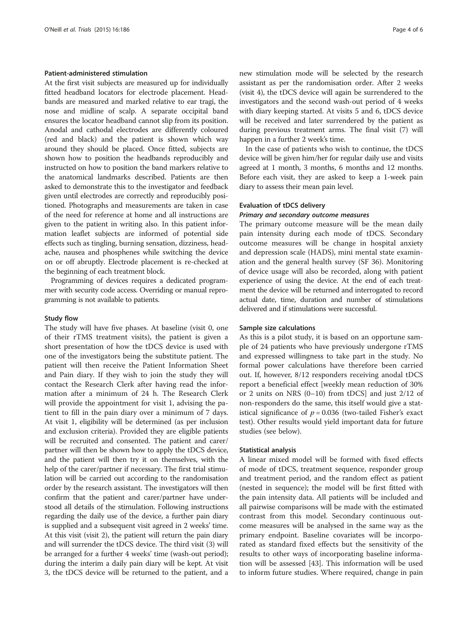# Patient-administered stimulation

At the first visit subjects are measured up for individually fitted headband locators for electrode placement. Headbands are measured and marked relative to ear tragi, the nose and midline of scalp. A separate occipital band ensures the locator headband cannot slip from its position. Anodal and cathodal electrodes are differently coloured (red and black) and the patient is shown which way around they should be placed. Once fitted, subjects are shown how to position the headbands reproducibly and instructed on how to position the band markers relative to the anatomical landmarks described. Patients are then asked to demonstrate this to the investigator and feedback given until electrodes are correctly and reproducibly positioned. Photographs and measurements are taken in case of the need for reference at home and all instructions are given to the patient in writing also. In this patient information leaflet subjects are informed of potential side effects such as tingling, burning sensation, dizziness, headache, nausea and phosphenes while switching the device on or off abruptly. Electrode placement is re-checked at the beginning of each treatment block.

Programming of devices requires a dedicated programmer with security code access. Overriding or manual reprogramming is not available to patients.

#### Study flow

The study will have five phases. At baseline (visit 0, one of their rTMS treatment visits), the patient is given a short presentation of how the tDCS device is used with one of the investigators being the substitute patient. The patient will then receive the Patient Information Sheet and Pain diary. If they wish to join the study they will contact the Research Clerk after having read the information after a minimum of 24 h. The Research Clerk will provide the appointment for visit 1, advising the patient to fill in the pain diary over a minimum of 7 days. At visit 1, eligibility will be determined (as per inclusion and exclusion criteria). Provided they are eligible patients will be recruited and consented. The patient and carer/ partner will then be shown how to apply the tDCS device, and the patient will then try it on themselves, with the help of the carer/partner if necessary. The first trial stimulation will be carried out according to the randomisation order by the research assistant. The investigators will then confirm that the patient and carer/partner have understood all details of the stimulation. Following instructions regarding the daily use of the device, a further pain diary is supplied and a subsequent visit agreed in 2 weeks' time. At this visit (visit 2), the patient will return the pain diary and will surrender the tDCS device. The third visit (3) will be arranged for a further 4 weeks' time (wash-out period); during the interim a daily pain diary will be kept. At visit 3, the tDCS device will be returned to the patient, and a

new stimulation mode will be selected by the research assistant as per the randomisation order. After 2 weeks (visit 4), the tDCS device will again be surrendered to the investigators and the second wash-out period of 4 weeks with diary keeping started. At visits 5 and 6, tDCS device will be received and later surrendered by the patient as during previous treatment arms. The final visit (7) will happen in a further 2 week's time.

In the case of patients who wish to continue, the tDCS device will be given him/her for regular daily use and visits agreed at 1 month, 3 months, 6 months and 12 months. Before each visit, they are asked to keep a 1-week pain diary to assess their mean pain level.

#### Evaluation of tDCS delivery

#### Primary and secondary outcome measures

The primary outcome measure will be the mean daily pain intensity during each mode of tDCS. Secondary outcome measures will be change in hospital anxiety and depression scale (HADS), mini mental state examination and the general health survey (SF 36). Monitoring of device usage will also be recorded, along with patient experience of using the device. At the end of each treatment the device will be returned and interrogated to record actual date, time, duration and number of stimulations delivered and if stimulations were successful.

#### Sample size calculations

As this is a pilot study, it is based on an opportune sample of 24 patients who have previously undergone rTMS and expressed willingness to take part in the study. No formal power calculations have therefore been carried out. If, however, 8/12 responders receiving anodal tDCS report a beneficial effect [weekly mean reduction of 30% or 2 units on NRS (0–10) from tDCS] and just 2/12 of non-responders do the same, this itself would give a statistical significance of  $p = 0.036$  (two-tailed Fisher's exact test). Other results would yield important data for future studies (see below).

#### Statistical analysis

A linear mixed model will be formed with fixed effects of mode of tDCS, treatment sequence, responder group and treatment period, and the random effect as patient (nested in sequence); the model will be first fitted with the pain intensity data. All patients will be included and all pairwise comparisons will be made with the estimated contrast from this model. Secondary continuous outcome measures will be analysed in the same way as the primary endpoint. Baseline covariates will be incorporated as standard fixed effects but the sensitivity of the results to other ways of incorporating baseline information will be assessed [\[43\]](#page-5-0). This information will be used to inform future studies. Where required, change in pain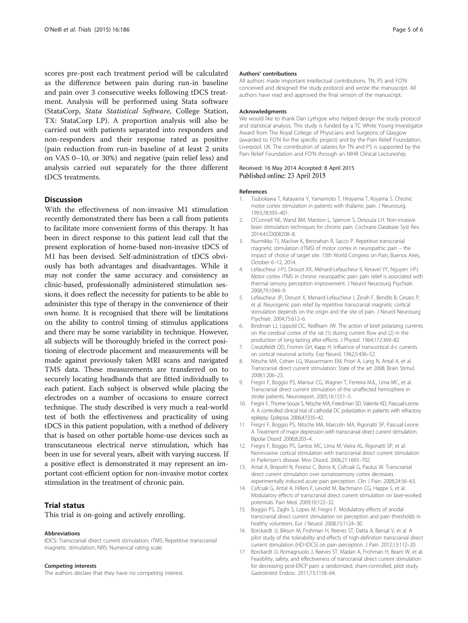<span id="page-4-0"></span>scores pre-post each treatment period will be calculated as the difference between pain during run-in baseline and pain over 3 consecutive weeks following tDCS treatment. Analysis will be performed using Stata software (StataCorp, Stata Statistical Software, College Station, TX: StataCorp LP). A proportion analysis will also be carried out with patients separated into responders and non-responders and their response rated as positive (pain reduction from run-in baseline of at least 2 units on VAS 0–10, or 30%) and negative (pain relief less) and analysis carried out separately for the three different tDCS treatments.

# **Discussion**

With the effectiveness of non-invasive M1 stimulation recently demonstrated there has been a call from patients to facilitate more convenient forms of this therapy. It has been in direct response to this patient lead call that the present exploration of home-based non-invasive tDCS of M1 has been devised. Self-administration of tDCS obviously has both advantages and disadvantages. While it may not confer the same accuracy and consistency as clinic-based, professionally administered stimulation sessions, it does reflect the necessity for patients to be able to administer this type of therapy in the convenience of their own home. It is recognised that there will be limitations on the ability to control timing of stimulus applications and there may be some variability in technique. However, all subjects will be thoroughly briefed in the correct positioning of electrode placement and measurements will be made against previously taken MRI scans and navigated TMS data. These measurements are transferred on to securely locating headbands that are fitted individually to each patient. Each subject is observed while placing the electrodes on a number of occasions to ensure correct technique. The study described is very much a real-world test of both the effectiveness and practicality of using tDCS in this patient population, with a method of delivery that is based on other portable home-use devices such as transcutaneous electrical nerve stimulation, which has been in use for several years, albeit with varying success. If a positive effect is demonstrated it may represent an important cost-efficient option for non-invasive motor cortex stimulation in the treatment of chronic pain.

# Trial status

This trial is on-going and actively enrolling.

#### Abbreviations

tDCS: Transcranial direct current stimulation; rTMS: Repetitive transcranial magnetic stimulation; NRS: Numerical rating scale.

#### Competing interests

The authors declare that they have no competing interest.

#### Authors' contributions

All authors made important intellectual contributions. TN, PS and FO'N conceived and designed the study protocol and wrote the manuscript. All authors have read and approved the final version of the manuscript.

#### Acknowledgments

We would like to thank Dan Lythgoe who helped design the study protocol and statistical analysis. This study is funded by a TC White Young Investigator Award from The Royal College of Physicians and Surgeons of Glasgow (awarded to FO'N for the specific project) and by the Pain Relief Foundation, Liverpool, UK. The contribution of salaries for TN and PS is supported by the Pain Relief Foundation and FO'N through an NIHR Clinical Lectureship.

#### Received: 16 May 2014 Accepted: 8 April 2015 Published online: 23 April 2015

#### References

- 1. Tsubokawa T, Katayama Y, Yamamoto T, Hirayama T, Koyama S. Chronic motor cortex stimulation in patients with thalamic pain. J Neurosurg. 1993;78:393–401.
- 2. O'Connell NE, Wand BM, Marston L, Spencer S, Desouza LH. Non-invasive brain stimulation techniques for chronic pain. Cochrane Database Syst Rev. 2014;4:CD008208–8.
- 3. Nurmikko TJ, MacIver K, Bresnahan R, Sacco P. Repetitive transcranial magnetic stimulation (rTMS) of motor cortex in neuropathic pain – the impact of choice of target site. 15th World Congress on Pain, Buenos Aires, October 6–12, 2014.
- 4. Lefaucheur J-PJ, Drouot XX, Ménard-Lefaucheur II, Keravel YY, Nguyen J-PJ. Motor cortex rTMS in chronic neuropathic pain: pain relief is associated with thermal sensory perception improvement. J Neurol Neurosurg Psychiatr. 2008;79:1044–9.
- 5. Lefaucheur JP, Drouot X, Menard-Lefaucheur I, Zerah F, Bendib B, Cesaro P, et al. Neurogenic pain relief by repetitive transcranial magnetic cortical stimulation depends on the origin and the site of pain. J Neurol Neurosurg Psychiatr. 2004;75:612–6.
- 6. Bindman LJ, Lippold OC, Redfearn JW. The action of brief polarizing currents on the cerebral cortex of the rat (1) during current flow and (2) in the production of long-lasting after-effects. J Physiol. 1964;172:369–82.
- 7. Creutzfeldt OD, Fromm GH, Kapp H. Influence of transcortical d-c currents on cortical neuronal activity. Exp Neurol. 1962;5:436–52.
- 8. Nitsche MA, Cohen LG, Wassermann EM, Priori A, Lang N, Antal A, et al. Transcranial direct current stimulation: State of the art 2008. Brain Stimul. 2008;1:206–23.
- 9. Fregni F, Boggio PS, Mansur CG, Wagner T, Ferreira MJL, Lima MC, et al. Transcranial direct current stimulation of the unaffected hemisphere in stroke patients. Neuroreport. 2005;16:1551–5.
- 10. Fregni F, Thome-Souza S, Nitsche MA, Freedman SD, Valente KD, Pascual-Leone A. A controlled clinical trial of cathodal DC polarization in patients with refractory epilepsy. Epilepsia. 2006;47:335–42.
- 11. Fregni F, Boggio PS, Nitsche MA, Marcolin MA, Rigonatti SP, Pascual-Leone A. Treatment of major depression with transcranial direct current stimulation. Bipolar Disord. 2006;8:203–4.
- 12. Fregni F, Boggio PS, Santos MC, Lima M, Vieira AL, Rigonatti SP, et al. Noninvasive cortical stimulation with transcranial direct current stimulation in Parkinson's disease. Mov Disord. 2006;21:1693–702.
- 13. Antal A, Brepohl N, Poreisz C, Boros K, Csifcsak G, Paulus W. Transcranial direct current stimulation over somatosensory cortex decreases experimentally induced acute pain perception. Clin J Pain. 2008;24:56–63.
- 14. Csifcsak G, Antal A, Hillers F, Levold M, Bachmann CG, Happe S, et al. Modulatory effects of transcranial direct current stimulation on laser-evoked potentials. Pain Med. 2009;10:122–32.
- 15. Boggio PS, Zaghi S, Lopes M, Fregni F. Modulatory effects of anodal transcranial direct current stimulation on perception and pain thresholds in healthy volunteers. Eur J Neurol. 2008;15:1124–30.
- 16. Borckardt JJ, Bikson M, Frohman H, Reeves ST, Datta A, Bansal V, et al. A pilot study of the tolerability and effects of high-definition transcranial direct current stimulation (HD-tDCS) on pain perception. J Pain. 2012;13:112–20.
- 17. Borckardt JJ, Romagnuolo J, Reeves ST, Madan A, Frohman H, Beam W, et al. Feasibility, safety, and effectiveness of transcranial direct current stimulation for decreasing post-ERCP pain: a randomized, sham-controlled, pilot study. Gastrointest Endosc. 2011;73:1158–64.